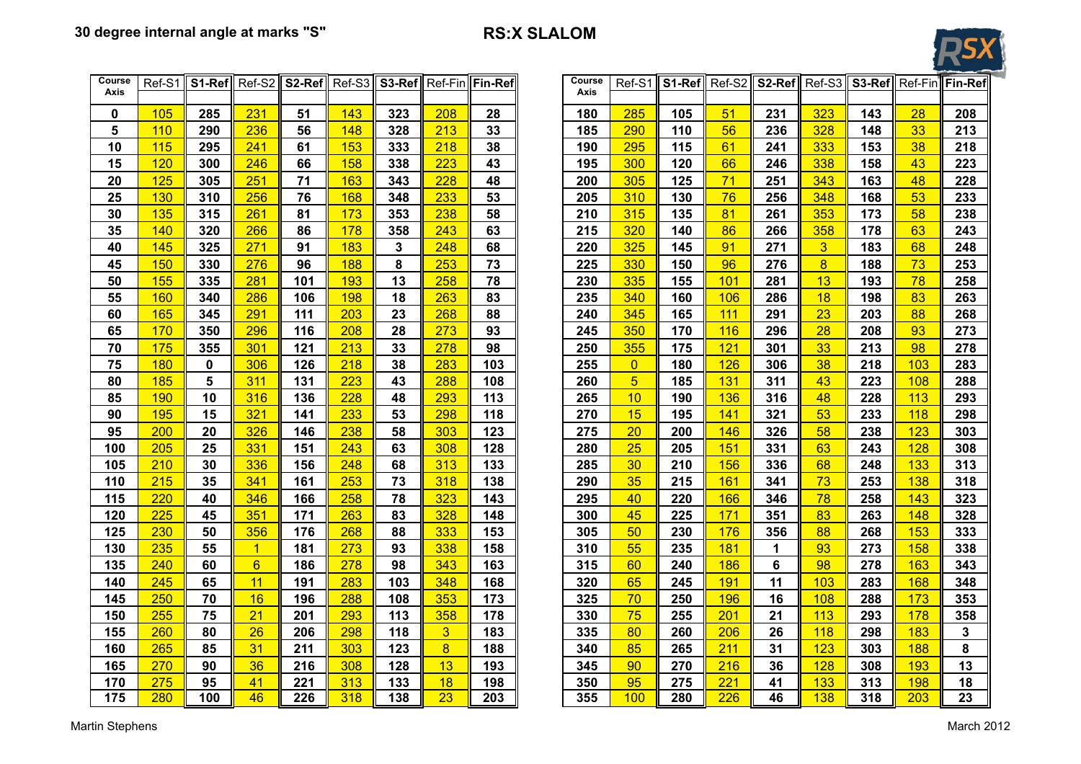## **30 degree internal angle at marks "S" RS:X SLALOM**



| Course<br>Course<br>S1-Ref<br>S3-Ref<br>Ref-S1<br>S <sub>2-Ref</sub><br>S3-Ref<br><b>Fin-Ref</b><br>$S1-Ref$<br>Ref-S2<br>S <sub>2-Ref</sub><br>Ref-S2<br>Ref-S3<br>Ref-Fin<br>Ref-S1<br>Ref-S3<br>Axis<br>Axis<br>105<br>285<br>231<br>51<br>143<br>323<br>208<br>28<br>180<br>285<br>105<br>51<br>231<br>323<br>143<br>0<br>5<br>110<br>236<br>213<br>33<br>56<br>328<br>290<br>56<br>148<br>328<br>185<br>290<br>110<br>236<br>148<br>10<br>38<br>295<br>115<br>295<br>241<br>61<br>153<br>333<br>218<br>190<br>115<br>61<br>241<br>333<br>153<br>120<br>223<br>300<br>15<br>300<br>246<br>66<br>158<br>338<br>43<br>195<br>120<br>66<br>246<br>338<br>158<br>71<br>125<br>251<br>305<br>20<br>305<br>71<br>163<br>343<br>228<br>48<br>200<br>125<br>251<br>343<br>163<br>76<br>130<br>256<br>168<br>233<br>310<br>25<br>310<br>76<br>348<br>53<br>205<br>130<br>256<br>348<br>168<br>238<br>81<br>135<br>261<br>173<br>353<br>315<br>353<br>30<br>315<br>81<br>58<br>210<br>135<br>261<br>173<br>320<br>140<br>266<br>178<br>243<br>63<br>86<br>358<br>178<br>35<br>320<br>86<br>358<br>215<br>140<br>266<br>271<br>325<br>$\overline{3}$<br>40<br>145<br>183<br>${\bf 3}$<br>248<br>68<br>91<br>271<br>183<br>325<br>91<br>220<br>145<br>8<br>$\overline{8}$<br>150<br>253<br>330<br>96<br>276<br>188<br>73<br>45<br>330<br>96<br>225<br>150<br>276<br>188<br>13<br>335<br>101<br>13<br>155<br>281<br>101<br>193<br>258<br>78<br>230<br>281<br>193<br>50<br>335<br>155<br>263<br>340<br>18<br>55<br>160<br>340<br>286<br>106<br>198<br>18<br>83<br>235<br>106<br>286<br>198<br>160<br>165<br>268<br>345<br>111<br>23<br>60<br>345<br>291<br>111<br>203<br>23<br>88<br>240<br>165<br>291<br>203<br>170<br>208<br>28<br>273<br>245<br>350<br>28<br>65<br>350<br>296<br>116<br>93<br>170<br>116<br>296<br>208<br>70<br>175<br>213<br>33<br>98<br>355<br>301<br>355<br>301<br>121<br>278<br>250<br>175<br>121<br>33<br>213<br>75<br>180<br>218<br>38<br>103<br>$\overline{0}$<br>0<br>306<br>126<br>283<br>255<br>180<br>126<br>306<br>38<br>218<br>5<br>$\overline{5}$<br>80<br>185<br>311<br>131<br>223<br>43<br>288<br>108<br>260<br>185<br>131<br>311<br>43<br>223<br>10<br>85<br>190<br>316<br>136<br>228<br>48<br>293<br>113<br>265<br>10<br>190<br>136<br>316<br>48<br>228<br>15<br>90<br>195<br>321<br>141<br>233<br>53<br>298<br>118<br>270<br>15<br>141<br>321<br>53<br>233<br>195<br>275<br>95<br>200<br>20<br>326<br>146<br>238<br>58<br>303<br>123<br>20<br>146<br>326<br>58<br>238<br>200<br>100<br>205<br>25<br>331<br>151<br>243<br>63<br>308<br>128<br>280<br>25<br>151<br>331<br>63<br>243<br>205<br>105<br>210<br>30<br>336<br>156<br>248<br>68<br>313<br>133<br>285<br>30<br>210<br>156<br>336<br>68<br>248<br>215<br>253<br>73<br>35<br>73<br>110<br>35<br>341<br>161<br>318<br>138<br>290<br>215<br>161<br>341<br>253<br>78<br>220<br>346<br>258<br>78<br>323<br>143<br>295<br>40<br>258<br>115<br>40<br>166<br>220<br>166<br>346<br>120<br>225<br>351<br>263<br>83<br>328<br>148<br>300<br>45<br>171<br>351<br>83<br>263<br>45<br>171<br>225<br>125<br>230<br>333<br>153<br>305<br>50<br>88<br>50<br>356<br>176<br>268<br>88<br>230<br>176<br>356<br>268<br>235<br>55<br>130<br>273<br>93<br>338<br>158<br>93<br>55<br>$\mathbf{1}$<br>181<br>310<br>235<br>181<br>1<br>273<br>$6\phantom{a}$<br>$6\phantom{a}$<br>98<br>135<br>240<br>278<br>98<br>343<br>163<br>60<br>278<br>60<br>186<br>315<br>240<br>186<br>11<br>11<br>283<br>65<br>191<br>103<br>140<br>245<br>191<br>103<br>348<br>168<br>320<br>65<br>245<br>283<br>250<br>16<br>288<br>353<br>70<br>145<br>70<br>173<br>325<br>196<br>16<br>108<br>196<br>108<br>250<br>288<br>255<br>75<br>21<br>293<br>358<br>75<br>201<br>113<br>150<br>113<br>178<br>330<br>255<br>21<br>293<br>201<br>$\overline{3}$<br>260<br>26<br>298<br>206<br>118<br>155<br>183<br>80<br>80<br>206<br>118<br>335<br>260<br>26<br>298<br>$\overline{8}$<br>211<br>123<br>265<br>31<br>303<br>340<br>85<br>160<br>85<br>211<br>123<br>188<br>265<br>31<br>303<br>13<br>128<br>165<br>270<br>36<br>216<br>308<br>193<br>345<br>90<br>270<br>216<br>36<br>308<br>90<br>128<br>41<br>18<br>275<br>95<br>221<br>313<br>198<br>350<br>95<br>221<br>41<br>133<br>170<br>133<br>275<br>313 |     |     |     |    |     |     |     |                 |     |     |     |     |     |                 |     |     |               |
|-----------------------------------------------------------------------------------------------------------------------------------------------------------------------------------------------------------------------------------------------------------------------------------------------------------------------------------------------------------------------------------------------------------------------------------------------------------------------------------------------------------------------------------------------------------------------------------------------------------------------------------------------------------------------------------------------------------------------------------------------------------------------------------------------------------------------------------------------------------------------------------------------------------------------------------------------------------------------------------------------------------------------------------------------------------------------------------------------------------------------------------------------------------------------------------------------------------------------------------------------------------------------------------------------------------------------------------------------------------------------------------------------------------------------------------------------------------------------------------------------------------------------------------------------------------------------------------------------------------------------------------------------------------------------------------------------------------------------------------------------------------------------------------------------------------------------------------------------------------------------------------------------------------------------------------------------------------------------------------------------------------------------------------------------------------------------------------------------------------------------------------------------------------------------------------------------------------------------------------------------------------------------------------------------------------------------------------------------------------------------------------------------------------------------------------------------------------------------------------------------------------------------------------------------------------------------------------------------------------------------------------------------------------------------------------------------------------------------------------------------------------------------------------------------------------------------------------------------------------------------------------------------------------------------------------------------------------------------------------------------------------------------------------------------------------------------------------------------------------------------------------------------------------------------------------------------------------------------------------------------------------------------------------------------------------------------------------------------------------------------------------------------------------------------------------------------------------------------------------------------------------------------------------------------------------------------------------------------------------------------------------------------------------------------------------------------------------------------------------------------------------------------------------------------------------------------------------------------------------------------------------------------------------------------------------------------------------------------------------------------------------------------------------------------------------------------------------------------------------------------------------------------------------------------------------------------------------------------------------------------|-----|-----|-----|----|-----|-----|-----|-----------------|-----|-----|-----|-----|-----|-----------------|-----|-----|---------------|
| 38<br>43<br>48<br>53<br>58<br>63<br>68<br>73<br>78<br>83<br>88<br>93<br>98<br>103<br>108<br>113<br>118<br>123<br>128<br>133<br>138<br>143<br>148<br>153<br>158<br>163<br>168<br>173<br>178<br>183<br>188<br>193<br>198                                                                                                                                                                                                                                                                                                                                                                                                                                                                                                                                                                                                                                                                                                                                                                                                                                                                                                                                                                                                                                                                                                                                                                                                                                                                                                                                                                                                                                                                                                                                                                                                                                                                                                                                                                                                                                                                                                                                                                                                                                                                                                                                                                                                                                                                                                                                                                                                                                                                                                                                                                                                                                                                                                                                                                                                                                                                                                                                                                                                                                                                                                                                                                                                                                                                                                                                                                                                                                                                                                                                                                                                                                                                                                                                                                                                                                                                                                                                                                                                                        |     |     |     |    |     |     |     |                 |     |     |     |     |     |                 |     |     | Ref-Fin Fin-F |
|                                                                                                                                                                                                                                                                                                                                                                                                                                                                                                                                                                                                                                                                                                                                                                                                                                                                                                                                                                                                                                                                                                                                                                                                                                                                                                                                                                                                                                                                                                                                                                                                                                                                                                                                                                                                                                                                                                                                                                                                                                                                                                                                                                                                                                                                                                                                                                                                                                                                                                                                                                                                                                                                                                                                                                                                                                                                                                                                                                                                                                                                                                                                                                                                                                                                                                                                                                                                                                                                                                                                                                                                                                                                                                                                                                                                                                                                                                                                                                                                                                                                                                                                                                                                                                               |     |     |     |    |     |     |     |                 |     |     |     |     |     |                 |     |     |               |
|                                                                                                                                                                                                                                                                                                                                                                                                                                                                                                                                                                                                                                                                                                                                                                                                                                                                                                                                                                                                                                                                                                                                                                                                                                                                                                                                                                                                                                                                                                                                                                                                                                                                                                                                                                                                                                                                                                                                                                                                                                                                                                                                                                                                                                                                                                                                                                                                                                                                                                                                                                                                                                                                                                                                                                                                                                                                                                                                                                                                                                                                                                                                                                                                                                                                                                                                                                                                                                                                                                                                                                                                                                                                                                                                                                                                                                                                                                                                                                                                                                                                                                                                                                                                                                               |     |     |     |    |     |     |     |                 |     |     |     |     |     |                 |     |     | 28            |
|                                                                                                                                                                                                                                                                                                                                                                                                                                                                                                                                                                                                                                                                                                                                                                                                                                                                                                                                                                                                                                                                                                                                                                                                                                                                                                                                                                                                                                                                                                                                                                                                                                                                                                                                                                                                                                                                                                                                                                                                                                                                                                                                                                                                                                                                                                                                                                                                                                                                                                                                                                                                                                                                                                                                                                                                                                                                                                                                                                                                                                                                                                                                                                                                                                                                                                                                                                                                                                                                                                                                                                                                                                                                                                                                                                                                                                                                                                                                                                                                                                                                                                                                                                                                                                               |     |     |     |    |     |     |     |                 |     |     |     |     |     |                 |     |     | 33            |
|                                                                                                                                                                                                                                                                                                                                                                                                                                                                                                                                                                                                                                                                                                                                                                                                                                                                                                                                                                                                                                                                                                                                                                                                                                                                                                                                                                                                                                                                                                                                                                                                                                                                                                                                                                                                                                                                                                                                                                                                                                                                                                                                                                                                                                                                                                                                                                                                                                                                                                                                                                                                                                                                                                                                                                                                                                                                                                                                                                                                                                                                                                                                                                                                                                                                                                                                                                                                                                                                                                                                                                                                                                                                                                                                                                                                                                                                                                                                                                                                                                                                                                                                                                                                                                               |     |     |     |    |     |     |     |                 |     |     |     |     |     |                 |     |     |               |
|                                                                                                                                                                                                                                                                                                                                                                                                                                                                                                                                                                                                                                                                                                                                                                                                                                                                                                                                                                                                                                                                                                                                                                                                                                                                                                                                                                                                                                                                                                                                                                                                                                                                                                                                                                                                                                                                                                                                                                                                                                                                                                                                                                                                                                                                                                                                                                                                                                                                                                                                                                                                                                                                                                                                                                                                                                                                                                                                                                                                                                                                                                                                                                                                                                                                                                                                                                                                                                                                                                                                                                                                                                                                                                                                                                                                                                                                                                                                                                                                                                                                                                                                                                                                                                               |     |     |     |    |     |     |     |                 |     |     |     |     |     |                 |     |     |               |
|                                                                                                                                                                                                                                                                                                                                                                                                                                                                                                                                                                                                                                                                                                                                                                                                                                                                                                                                                                                                                                                                                                                                                                                                                                                                                                                                                                                                                                                                                                                                                                                                                                                                                                                                                                                                                                                                                                                                                                                                                                                                                                                                                                                                                                                                                                                                                                                                                                                                                                                                                                                                                                                                                                                                                                                                                                                                                                                                                                                                                                                                                                                                                                                                                                                                                                                                                                                                                                                                                                                                                                                                                                                                                                                                                                                                                                                                                                                                                                                                                                                                                                                                                                                                                                               |     |     |     |    |     |     |     |                 |     |     |     |     |     |                 |     |     |               |
|                                                                                                                                                                                                                                                                                                                                                                                                                                                                                                                                                                                                                                                                                                                                                                                                                                                                                                                                                                                                                                                                                                                                                                                                                                                                                                                                                                                                                                                                                                                                                                                                                                                                                                                                                                                                                                                                                                                                                                                                                                                                                                                                                                                                                                                                                                                                                                                                                                                                                                                                                                                                                                                                                                                                                                                                                                                                                                                                                                                                                                                                                                                                                                                                                                                                                                                                                                                                                                                                                                                                                                                                                                                                                                                                                                                                                                                                                                                                                                                                                                                                                                                                                                                                                                               |     |     |     |    |     |     |     |                 |     |     |     |     |     |                 |     |     |               |
|                                                                                                                                                                                                                                                                                                                                                                                                                                                                                                                                                                                                                                                                                                                                                                                                                                                                                                                                                                                                                                                                                                                                                                                                                                                                                                                                                                                                                                                                                                                                                                                                                                                                                                                                                                                                                                                                                                                                                                                                                                                                                                                                                                                                                                                                                                                                                                                                                                                                                                                                                                                                                                                                                                                                                                                                                                                                                                                                                                                                                                                                                                                                                                                                                                                                                                                                                                                                                                                                                                                                                                                                                                                                                                                                                                                                                                                                                                                                                                                                                                                                                                                                                                                                                                               |     |     |     |    |     |     |     |                 |     |     |     |     |     |                 |     |     |               |
|                                                                                                                                                                                                                                                                                                                                                                                                                                                                                                                                                                                                                                                                                                                                                                                                                                                                                                                                                                                                                                                                                                                                                                                                                                                                                                                                                                                                                                                                                                                                                                                                                                                                                                                                                                                                                                                                                                                                                                                                                                                                                                                                                                                                                                                                                                                                                                                                                                                                                                                                                                                                                                                                                                                                                                                                                                                                                                                                                                                                                                                                                                                                                                                                                                                                                                                                                                                                                                                                                                                                                                                                                                                                                                                                                                                                                                                                                                                                                                                                                                                                                                                                                                                                                                               |     |     |     |    |     |     |     |                 |     |     |     |     |     |                 |     |     |               |
|                                                                                                                                                                                                                                                                                                                                                                                                                                                                                                                                                                                                                                                                                                                                                                                                                                                                                                                                                                                                                                                                                                                                                                                                                                                                                                                                                                                                                                                                                                                                                                                                                                                                                                                                                                                                                                                                                                                                                                                                                                                                                                                                                                                                                                                                                                                                                                                                                                                                                                                                                                                                                                                                                                                                                                                                                                                                                                                                                                                                                                                                                                                                                                                                                                                                                                                                                                                                                                                                                                                                                                                                                                                                                                                                                                                                                                                                                                                                                                                                                                                                                                                                                                                                                                               |     |     |     |    |     |     |     |                 |     |     |     |     |     |                 |     |     |               |
|                                                                                                                                                                                                                                                                                                                                                                                                                                                                                                                                                                                                                                                                                                                                                                                                                                                                                                                                                                                                                                                                                                                                                                                                                                                                                                                                                                                                                                                                                                                                                                                                                                                                                                                                                                                                                                                                                                                                                                                                                                                                                                                                                                                                                                                                                                                                                                                                                                                                                                                                                                                                                                                                                                                                                                                                                                                                                                                                                                                                                                                                                                                                                                                                                                                                                                                                                                                                                                                                                                                                                                                                                                                                                                                                                                                                                                                                                                                                                                                                                                                                                                                                                                                                                                               |     |     |     |    |     |     |     |                 |     |     |     |     |     |                 |     |     |               |
|                                                                                                                                                                                                                                                                                                                                                                                                                                                                                                                                                                                                                                                                                                                                                                                                                                                                                                                                                                                                                                                                                                                                                                                                                                                                                                                                                                                                                                                                                                                                                                                                                                                                                                                                                                                                                                                                                                                                                                                                                                                                                                                                                                                                                                                                                                                                                                                                                                                                                                                                                                                                                                                                                                                                                                                                                                                                                                                                                                                                                                                                                                                                                                                                                                                                                                                                                                                                                                                                                                                                                                                                                                                                                                                                                                                                                                                                                                                                                                                                                                                                                                                                                                                                                                               |     |     |     |    |     |     |     |                 |     |     |     |     |     |                 |     |     |               |
|                                                                                                                                                                                                                                                                                                                                                                                                                                                                                                                                                                                                                                                                                                                                                                                                                                                                                                                                                                                                                                                                                                                                                                                                                                                                                                                                                                                                                                                                                                                                                                                                                                                                                                                                                                                                                                                                                                                                                                                                                                                                                                                                                                                                                                                                                                                                                                                                                                                                                                                                                                                                                                                                                                                                                                                                                                                                                                                                                                                                                                                                                                                                                                                                                                                                                                                                                                                                                                                                                                                                                                                                                                                                                                                                                                                                                                                                                                                                                                                                                                                                                                                                                                                                                                               |     |     |     |    |     |     |     |                 |     |     |     |     |     |                 |     |     |               |
|                                                                                                                                                                                                                                                                                                                                                                                                                                                                                                                                                                                                                                                                                                                                                                                                                                                                                                                                                                                                                                                                                                                                                                                                                                                                                                                                                                                                                                                                                                                                                                                                                                                                                                                                                                                                                                                                                                                                                                                                                                                                                                                                                                                                                                                                                                                                                                                                                                                                                                                                                                                                                                                                                                                                                                                                                                                                                                                                                                                                                                                                                                                                                                                                                                                                                                                                                                                                                                                                                                                                                                                                                                                                                                                                                                                                                                                                                                                                                                                                                                                                                                                                                                                                                                               |     |     |     |    |     |     |     |                 |     |     |     |     |     |                 |     |     |               |
|                                                                                                                                                                                                                                                                                                                                                                                                                                                                                                                                                                                                                                                                                                                                                                                                                                                                                                                                                                                                                                                                                                                                                                                                                                                                                                                                                                                                                                                                                                                                                                                                                                                                                                                                                                                                                                                                                                                                                                                                                                                                                                                                                                                                                                                                                                                                                                                                                                                                                                                                                                                                                                                                                                                                                                                                                                                                                                                                                                                                                                                                                                                                                                                                                                                                                                                                                                                                                                                                                                                                                                                                                                                                                                                                                                                                                                                                                                                                                                                                                                                                                                                                                                                                                                               |     |     |     |    |     |     |     |                 |     |     |     |     |     |                 |     |     |               |
|                                                                                                                                                                                                                                                                                                                                                                                                                                                                                                                                                                                                                                                                                                                                                                                                                                                                                                                                                                                                                                                                                                                                                                                                                                                                                                                                                                                                                                                                                                                                                                                                                                                                                                                                                                                                                                                                                                                                                                                                                                                                                                                                                                                                                                                                                                                                                                                                                                                                                                                                                                                                                                                                                                                                                                                                                                                                                                                                                                                                                                                                                                                                                                                                                                                                                                                                                                                                                                                                                                                                                                                                                                                                                                                                                                                                                                                                                                                                                                                                                                                                                                                                                                                                                                               |     |     |     |    |     |     |     |                 |     |     |     |     |     |                 |     |     |               |
|                                                                                                                                                                                                                                                                                                                                                                                                                                                                                                                                                                                                                                                                                                                                                                                                                                                                                                                                                                                                                                                                                                                                                                                                                                                                                                                                                                                                                                                                                                                                                                                                                                                                                                                                                                                                                                                                                                                                                                                                                                                                                                                                                                                                                                                                                                                                                                                                                                                                                                                                                                                                                                                                                                                                                                                                                                                                                                                                                                                                                                                                                                                                                                                                                                                                                                                                                                                                                                                                                                                                                                                                                                                                                                                                                                                                                                                                                                                                                                                                                                                                                                                                                                                                                                               |     |     |     |    |     |     |     |                 |     |     |     |     |     |                 |     |     |               |
|                                                                                                                                                                                                                                                                                                                                                                                                                                                                                                                                                                                                                                                                                                                                                                                                                                                                                                                                                                                                                                                                                                                                                                                                                                                                                                                                                                                                                                                                                                                                                                                                                                                                                                                                                                                                                                                                                                                                                                                                                                                                                                                                                                                                                                                                                                                                                                                                                                                                                                                                                                                                                                                                                                                                                                                                                                                                                                                                                                                                                                                                                                                                                                                                                                                                                                                                                                                                                                                                                                                                                                                                                                                                                                                                                                                                                                                                                                                                                                                                                                                                                                                                                                                                                                               |     |     |     |    |     |     |     |                 |     |     |     |     |     |                 |     |     |               |
|                                                                                                                                                                                                                                                                                                                                                                                                                                                                                                                                                                                                                                                                                                                                                                                                                                                                                                                                                                                                                                                                                                                                                                                                                                                                                                                                                                                                                                                                                                                                                                                                                                                                                                                                                                                                                                                                                                                                                                                                                                                                                                                                                                                                                                                                                                                                                                                                                                                                                                                                                                                                                                                                                                                                                                                                                                                                                                                                                                                                                                                                                                                                                                                                                                                                                                                                                                                                                                                                                                                                                                                                                                                                                                                                                                                                                                                                                                                                                                                                                                                                                                                                                                                                                                               |     |     |     |    |     |     |     |                 |     |     |     |     |     |                 |     |     |               |
|                                                                                                                                                                                                                                                                                                                                                                                                                                                                                                                                                                                                                                                                                                                                                                                                                                                                                                                                                                                                                                                                                                                                                                                                                                                                                                                                                                                                                                                                                                                                                                                                                                                                                                                                                                                                                                                                                                                                                                                                                                                                                                                                                                                                                                                                                                                                                                                                                                                                                                                                                                                                                                                                                                                                                                                                                                                                                                                                                                                                                                                                                                                                                                                                                                                                                                                                                                                                                                                                                                                                                                                                                                                                                                                                                                                                                                                                                                                                                                                                                                                                                                                                                                                                                                               |     |     |     |    |     |     |     |                 |     |     |     |     |     |                 |     |     |               |
|                                                                                                                                                                                                                                                                                                                                                                                                                                                                                                                                                                                                                                                                                                                                                                                                                                                                                                                                                                                                                                                                                                                                                                                                                                                                                                                                                                                                                                                                                                                                                                                                                                                                                                                                                                                                                                                                                                                                                                                                                                                                                                                                                                                                                                                                                                                                                                                                                                                                                                                                                                                                                                                                                                                                                                                                                                                                                                                                                                                                                                                                                                                                                                                                                                                                                                                                                                                                                                                                                                                                                                                                                                                                                                                                                                                                                                                                                                                                                                                                                                                                                                                                                                                                                                               |     |     |     |    |     |     |     |                 |     |     |     |     |     |                 |     |     |               |
|                                                                                                                                                                                                                                                                                                                                                                                                                                                                                                                                                                                                                                                                                                                                                                                                                                                                                                                                                                                                                                                                                                                                                                                                                                                                                                                                                                                                                                                                                                                                                                                                                                                                                                                                                                                                                                                                                                                                                                                                                                                                                                                                                                                                                                                                                                                                                                                                                                                                                                                                                                                                                                                                                                                                                                                                                                                                                                                                                                                                                                                                                                                                                                                                                                                                                                                                                                                                                                                                                                                                                                                                                                                                                                                                                                                                                                                                                                                                                                                                                                                                                                                                                                                                                                               |     |     |     |    |     |     |     |                 |     |     |     |     |     |                 |     |     |               |
|                                                                                                                                                                                                                                                                                                                                                                                                                                                                                                                                                                                                                                                                                                                                                                                                                                                                                                                                                                                                                                                                                                                                                                                                                                                                                                                                                                                                                                                                                                                                                                                                                                                                                                                                                                                                                                                                                                                                                                                                                                                                                                                                                                                                                                                                                                                                                                                                                                                                                                                                                                                                                                                                                                                                                                                                                                                                                                                                                                                                                                                                                                                                                                                                                                                                                                                                                                                                                                                                                                                                                                                                                                                                                                                                                                                                                                                                                                                                                                                                                                                                                                                                                                                                                                               |     |     |     |    |     |     |     |                 |     |     |     |     |     |                 |     |     |               |
|                                                                                                                                                                                                                                                                                                                                                                                                                                                                                                                                                                                                                                                                                                                                                                                                                                                                                                                                                                                                                                                                                                                                                                                                                                                                                                                                                                                                                                                                                                                                                                                                                                                                                                                                                                                                                                                                                                                                                                                                                                                                                                                                                                                                                                                                                                                                                                                                                                                                                                                                                                                                                                                                                                                                                                                                                                                                                                                                                                                                                                                                                                                                                                                                                                                                                                                                                                                                                                                                                                                                                                                                                                                                                                                                                                                                                                                                                                                                                                                                                                                                                                                                                                                                                                               |     |     |     |    |     |     |     |                 |     |     |     |     |     |                 |     |     |               |
|                                                                                                                                                                                                                                                                                                                                                                                                                                                                                                                                                                                                                                                                                                                                                                                                                                                                                                                                                                                                                                                                                                                                                                                                                                                                                                                                                                                                                                                                                                                                                                                                                                                                                                                                                                                                                                                                                                                                                                                                                                                                                                                                                                                                                                                                                                                                                                                                                                                                                                                                                                                                                                                                                                                                                                                                                                                                                                                                                                                                                                                                                                                                                                                                                                                                                                                                                                                                                                                                                                                                                                                                                                                                                                                                                                                                                                                                                                                                                                                                                                                                                                                                                                                                                                               |     |     |     |    |     |     |     |                 |     |     |     |     |     |                 |     |     |               |
|                                                                                                                                                                                                                                                                                                                                                                                                                                                                                                                                                                                                                                                                                                                                                                                                                                                                                                                                                                                                                                                                                                                                                                                                                                                                                                                                                                                                                                                                                                                                                                                                                                                                                                                                                                                                                                                                                                                                                                                                                                                                                                                                                                                                                                                                                                                                                                                                                                                                                                                                                                                                                                                                                                                                                                                                                                                                                                                                                                                                                                                                                                                                                                                                                                                                                                                                                                                                                                                                                                                                                                                                                                                                                                                                                                                                                                                                                                                                                                                                                                                                                                                                                                                                                                               |     |     |     |    |     |     |     |                 |     |     |     |     |     |                 |     |     |               |
|                                                                                                                                                                                                                                                                                                                                                                                                                                                                                                                                                                                                                                                                                                                                                                                                                                                                                                                                                                                                                                                                                                                                                                                                                                                                                                                                                                                                                                                                                                                                                                                                                                                                                                                                                                                                                                                                                                                                                                                                                                                                                                                                                                                                                                                                                                                                                                                                                                                                                                                                                                                                                                                                                                                                                                                                                                                                                                                                                                                                                                                                                                                                                                                                                                                                                                                                                                                                                                                                                                                                                                                                                                                                                                                                                                                                                                                                                                                                                                                                                                                                                                                                                                                                                                               |     |     |     |    |     |     |     |                 |     |     |     |     |     |                 |     |     |               |
|                                                                                                                                                                                                                                                                                                                                                                                                                                                                                                                                                                                                                                                                                                                                                                                                                                                                                                                                                                                                                                                                                                                                                                                                                                                                                                                                                                                                                                                                                                                                                                                                                                                                                                                                                                                                                                                                                                                                                                                                                                                                                                                                                                                                                                                                                                                                                                                                                                                                                                                                                                                                                                                                                                                                                                                                                                                                                                                                                                                                                                                                                                                                                                                                                                                                                                                                                                                                                                                                                                                                                                                                                                                                                                                                                                                                                                                                                                                                                                                                                                                                                                                                                                                                                                               |     |     |     |    |     |     |     |                 |     |     |     |     |     |                 |     |     |               |
|                                                                                                                                                                                                                                                                                                                                                                                                                                                                                                                                                                                                                                                                                                                                                                                                                                                                                                                                                                                                                                                                                                                                                                                                                                                                                                                                                                                                                                                                                                                                                                                                                                                                                                                                                                                                                                                                                                                                                                                                                                                                                                                                                                                                                                                                                                                                                                                                                                                                                                                                                                                                                                                                                                                                                                                                                                                                                                                                                                                                                                                                                                                                                                                                                                                                                                                                                                                                                                                                                                                                                                                                                                                                                                                                                                                                                                                                                                                                                                                                                                                                                                                                                                                                                                               |     |     |     |    |     |     |     |                 |     |     |     |     |     |                 |     |     |               |
|                                                                                                                                                                                                                                                                                                                                                                                                                                                                                                                                                                                                                                                                                                                                                                                                                                                                                                                                                                                                                                                                                                                                                                                                                                                                                                                                                                                                                                                                                                                                                                                                                                                                                                                                                                                                                                                                                                                                                                                                                                                                                                                                                                                                                                                                                                                                                                                                                                                                                                                                                                                                                                                                                                                                                                                                                                                                                                                                                                                                                                                                                                                                                                                                                                                                                                                                                                                                                                                                                                                                                                                                                                                                                                                                                                                                                                                                                                                                                                                                                                                                                                                                                                                                                                               |     |     |     |    |     |     |     |                 |     |     |     |     |     |                 |     |     |               |
|                                                                                                                                                                                                                                                                                                                                                                                                                                                                                                                                                                                                                                                                                                                                                                                                                                                                                                                                                                                                                                                                                                                                                                                                                                                                                                                                                                                                                                                                                                                                                                                                                                                                                                                                                                                                                                                                                                                                                                                                                                                                                                                                                                                                                                                                                                                                                                                                                                                                                                                                                                                                                                                                                                                                                                                                                                                                                                                                                                                                                                                                                                                                                                                                                                                                                                                                                                                                                                                                                                                                                                                                                                                                                                                                                                                                                                                                                                                                                                                                                                                                                                                                                                                                                                               |     |     |     |    |     |     |     |                 |     |     |     |     |     |                 |     |     |               |
|                                                                                                                                                                                                                                                                                                                                                                                                                                                                                                                                                                                                                                                                                                                                                                                                                                                                                                                                                                                                                                                                                                                                                                                                                                                                                                                                                                                                                                                                                                                                                                                                                                                                                                                                                                                                                                                                                                                                                                                                                                                                                                                                                                                                                                                                                                                                                                                                                                                                                                                                                                                                                                                                                                                                                                                                                                                                                                                                                                                                                                                                                                                                                                                                                                                                                                                                                                                                                                                                                                                                                                                                                                                                                                                                                                                                                                                                                                                                                                                                                                                                                                                                                                                                                                               |     |     |     |    |     |     |     |                 |     |     |     |     |     |                 |     |     |               |
|                                                                                                                                                                                                                                                                                                                                                                                                                                                                                                                                                                                                                                                                                                                                                                                                                                                                                                                                                                                                                                                                                                                                                                                                                                                                                                                                                                                                                                                                                                                                                                                                                                                                                                                                                                                                                                                                                                                                                                                                                                                                                                                                                                                                                                                                                                                                                                                                                                                                                                                                                                                                                                                                                                                                                                                                                                                                                                                                                                                                                                                                                                                                                                                                                                                                                                                                                                                                                                                                                                                                                                                                                                                                                                                                                                                                                                                                                                                                                                                                                                                                                                                                                                                                                                               |     |     |     |    |     |     |     |                 |     |     |     |     |     |                 |     |     |               |
|                                                                                                                                                                                                                                                                                                                                                                                                                                                                                                                                                                                                                                                                                                                                                                                                                                                                                                                                                                                                                                                                                                                                                                                                                                                                                                                                                                                                                                                                                                                                                                                                                                                                                                                                                                                                                                                                                                                                                                                                                                                                                                                                                                                                                                                                                                                                                                                                                                                                                                                                                                                                                                                                                                                                                                                                                                                                                                                                                                                                                                                                                                                                                                                                                                                                                                                                                                                                                                                                                                                                                                                                                                                                                                                                                                                                                                                                                                                                                                                                                                                                                                                                                                                                                                               |     |     |     |    |     |     |     |                 |     |     |     |     |     |                 |     |     |               |
|                                                                                                                                                                                                                                                                                                                                                                                                                                                                                                                                                                                                                                                                                                                                                                                                                                                                                                                                                                                                                                                                                                                                                                                                                                                                                                                                                                                                                                                                                                                                                                                                                                                                                                                                                                                                                                                                                                                                                                                                                                                                                                                                                                                                                                                                                                                                                                                                                                                                                                                                                                                                                                                                                                                                                                                                                                                                                                                                                                                                                                                                                                                                                                                                                                                                                                                                                                                                                                                                                                                                                                                                                                                                                                                                                                                                                                                                                                                                                                                                                                                                                                                                                                                                                                               |     |     |     |    |     |     |     |                 |     |     |     |     |     |                 |     |     |               |
|                                                                                                                                                                                                                                                                                                                                                                                                                                                                                                                                                                                                                                                                                                                                                                                                                                                                                                                                                                                                                                                                                                                                                                                                                                                                                                                                                                                                                                                                                                                                                                                                                                                                                                                                                                                                                                                                                                                                                                                                                                                                                                                                                                                                                                                                                                                                                                                                                                                                                                                                                                                                                                                                                                                                                                                                                                                                                                                                                                                                                                                                                                                                                                                                                                                                                                                                                                                                                                                                                                                                                                                                                                                                                                                                                                                                                                                                                                                                                                                                                                                                                                                                                                                                                                               |     |     |     |    |     |     |     |                 |     |     |     |     |     |                 |     |     |               |
|                                                                                                                                                                                                                                                                                                                                                                                                                                                                                                                                                                                                                                                                                                                                                                                                                                                                                                                                                                                                                                                                                                                                                                                                                                                                                                                                                                                                                                                                                                                                                                                                                                                                                                                                                                                                                                                                                                                                                                                                                                                                                                                                                                                                                                                                                                                                                                                                                                                                                                                                                                                                                                                                                                                                                                                                                                                                                                                                                                                                                                                                                                                                                                                                                                                                                                                                                                                                                                                                                                                                                                                                                                                                                                                                                                                                                                                                                                                                                                                                                                                                                                                                                                                                                                               | 175 | 280 | 100 | 46 | 226 | 318 | 138 | $\overline{23}$ | 203 | 355 | 100 | 280 | 226 | $\overline{46}$ | 138 | 318 | 203           |

| ourse<br>Axis | Ref-S1 | S1-Ref    | Ref-S2         | S <sub>2-Ref</sub> | Ref-S3 | S3-Ref | Ref-Fin <b>Fin-Ref</b> |     | Course<br>Axis | Ref-S1         | S1-Ref | Ref-S2 | S2-Ref  | Ref-S3         | S3-Ref |     | Ref-Fin Fin-Ref         |
|---------------|--------|-----------|----------------|--------------------|--------|--------|------------------------|-----|----------------|----------------|--------|--------|---------|----------------|--------|-----|-------------------------|
|               |        |           |                |                    |        |        |                        |     |                |                |        |        |         |                |        |     |                         |
| 0             | 105    | 285       | 231            | 51                 | 143    | 323    | 208                    | 28  | 180            | 285            | 105    | 51     | 231     | 323            | 143    | 28  | 208                     |
| ${\bf 5}$     | 110    | 290       | 236            | 56                 | 148    | 328    | 213                    | 33  | 185            | 290            | 110    | 56     | 236     | 328            | 148    | 33  | 213                     |
| 10            | 115    | 295       | 241            | 61                 | 153    | 333    | 218                    | 38  | 190            | 295            | 115    | 61     | 241     | 333            | 153    | 38  | 218                     |
| 15            | 120    | 300       | 246            | 66                 | 158    | 338    | 223                    | 43  | 195            | 300            | 120    | 66     | 246     | 338            | 158    | 43  | 223                     |
| 20            | 125    | 305       | 251            | 71                 | 163    | 343    | <b>228</b>             | 48  | 200            | 305            | 125    | 71     | 251     | 343            | 163    | 48  | 228                     |
| 25            | 130    | 310       | 256            | 76                 | 168    | 348    | 233                    | 53  | 205            | 310            | 130    | 76     | 256     | 348            | 168    | 53  | 233                     |
| 30            | 135    | 315       | 261            | 81                 | 173    | 353    | 238                    | 58  | 210            | 315            | 135    | 81     | 261     | 353            | 173    | 58  | 238                     |
| 35            | 140    | 320       | 266            | 86                 | 178    | 358    | 243                    | 63  | 215            | 320            | 140    | 86     | 266     | 358            | 178    | 63  | 243                     |
| 40            | 145    | 325       | 271            | 91                 | 183    | 3      | 248                    | 68  | 220            | 325            | 145    | 91     | 271     | $\overline{3}$ | 183    | 68  | 248                     |
| 45            | 150    | 330       | 276            | 96                 | 188    | 8      | 253                    | 73  | 225            | 330            | 150    | 96     | 276     | 8              | 188    | 73  | 253                     |
| 50            | 155    | 335       | 281            | 101                | 193    | 13     | 258                    | 78  | 230            | 335            | 155    | 101    | 281     | 13             | 193    | 78  | 258                     |
| 55            | 160    | 340       | 286            | 106                | 198    | 18     | 263                    | 83  | 235            | 340            | 160    | 106    | 286     | 18             | 198    | 83  | 263                     |
| 60            | 165    | 345       | 291            | 111                | 203    | 23     | 268                    | 88  | 240            | 345            | 165    | 111    | 291     | 23             | 203    | 88  | 268                     |
| 65            | 170    | 350       | 296            | 116                | 208    | 28     | 273                    | 93  | 245            | 350            | 170    | 116    | 296     | 28             | 208    | 93  | 273                     |
| 70            | 175    | 355       | 301            | 121                | 213    | 33     | 278                    | 98  | 250            | 355            | 175    | 121    | 301     | 33             | 213    | 98  | 278                     |
| 75            | 180    | $\pmb{0}$ | 306            | 126                | 218    | 38     | 283                    | 103 | 255            | $\overline{0}$ | 180    | 126    | 306     | 38             | 218    | 103 | 283                     |
| 80            | 185    | 5         | 311            | 131                | 223    | 43     | 288                    | 108 | 260            | $\overline{5}$ | 185    | 131    | 311     | 43             | 223    | 108 | 288                     |
| 85            | 190    | 10        | 316            | 136                | 228    | 48     | 293                    | 113 | 265            | 10             | 190    | 136    | 316     | 48             | 228    | 113 | 293                     |
| 90            | 195    | 15        | 321            | 141                | 233    | 53     | 298                    | 118 | 270            | 15             | 195    | 141    | 321     | 53             | 233    | 118 | 298                     |
| 95            | 200    | 20        | 326            | 146                | 238    | 58     | 303                    | 123 | 275            | 20             | 200    | 146    | 326     | 58             | 238    | 123 | 303                     |
| 100           | 205    | 25        | 331            | 151                | 243    | 63     | 308                    | 128 | 280            | 25             | 205    | 151    | 331     | 63             | 243    | 128 | 308                     |
| 105           | 210    | 30        | 336            | 156                | 248    | 68     | 313                    | 133 | 285            | 30             | 210    | 156    | 336     | 68             | 248    | 133 | 313                     |
| 110           | 215    | 35        | 341            | 161                | 253    | 73     | 318                    | 138 | 290            | 35             | 215    | 161    | 341     | 73             | 253    | 138 | 318                     |
| 115           | 220    | 40        | 346            | 166                | 258    | 78     | 323                    | 143 | 295            | 40             | 220    | 166    | 346     | 78             | 258    | 143 | 323                     |
| 120           | 225    | 45        | 351            | 171                | 263    | 83     | 328                    | 148 | 300            | 45             | 225    | 171    | 351     | 83             | 263    | 148 | 328                     |
| 125           | 230    | 50        | 356            | 176                | 268    | 88     | 333                    | 153 | 305            | 50             | 230    | 176    | 356     | 88             | 268    | 153 | 333                     |
| 130           | 235    | 55        | $\overline{1}$ | 181                | 273    | 93     | 338                    | 158 | 310            | 55             | 235    | 181    | 1       | 93             | 273    | 158 | 338                     |
| 135           | 240    | 60        | $6\phantom{a}$ | 186                | 278    | 98     | 343                    | 163 | 315            | 60             | 240    | 186    | $\bf 6$ | 98             | 278    | 163 | 343                     |
| 140           | 245    | 65        | 11             | 191                | 283    | 103    | 348                    | 168 | 320            | 65             | 245    | 191    | 11      | 103            | 283    | 168 | 348                     |
| 145           | 250    | 70        | 16             | 196                | 288    | 108    | 353                    | 173 | 325            | 70             | 250    | 196    | 16      | 108            | 288    | 173 | 353                     |
| 150           | 255    | 75        | 21             | 201                | 293    | 113    | 358                    | 178 | 330            | 75             | 255    | 201    | 21      | 113            | 293    | 178 | 358                     |
| 155           | 260    | 80        | 26             | 206                | 298    | 118    | 3                      | 183 | 335            | 80             | 260    | 206    | 26      | 118            | 298    | 183 | $\overline{\mathbf{3}}$ |
| 160           | 265    | 85        | 31             | 211                | 303    | 123    | $\overline{8}$         | 188 | 340            | 85             | 265    | 211    | 31      | 123            | 303    | 188 | $\overline{\mathbf{8}}$ |
| 165           | 270    | 90        | 36             | 216                | 308    | 128    | 13                     | 193 | 345            | 90             | 270    | 216    | 36      | 128            | 308    | 193 | $\overline{13}$         |
| 170           | 275    | 95        | 41             | 221                | 313    | 133    | 18                     | 198 | 350            | 95             | 275    | 221    | 41      | 133            | 313    | 198 | $\overline{18}$         |
| 175           | 280    | 100       | 46             | 226                | 318    | 138    | $\overline{23}$        | 203 | 355            | 100            | 280    | 226    | 46      | 138            | 318    | 203 | $\overline{23}$         |